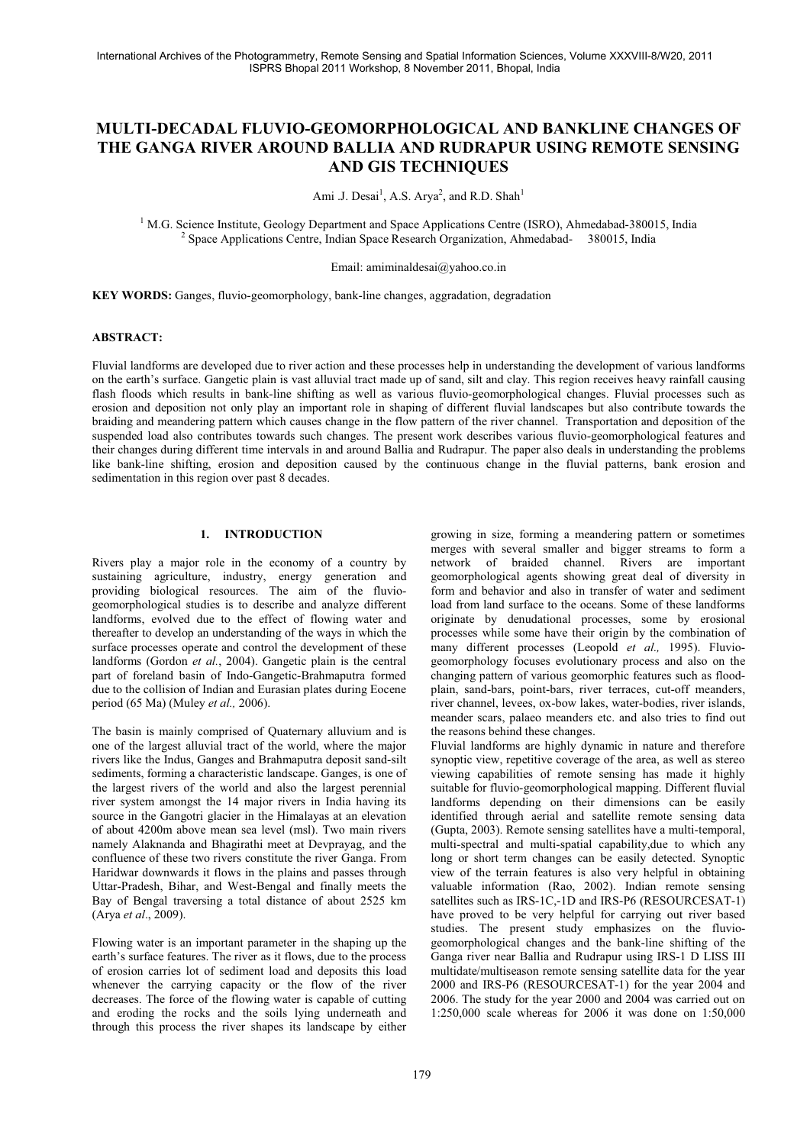# **MULTI-DECADAL FLUVIO-GEOMORPHOLOGICAL AND BANKLINE CHANGES OF THE GANGA RIVER AROUND BALLIA AND RUDRAPUR USING REMOTE SENSING AND GIS TECHNIQUES**

Ami .J. Desai<sup>1</sup>, A.S. Arya<sup>2</sup>, and R.D. Shah<sup>1</sup>

<sup>1</sup> M.G. Science Institute, Geology Department and Space Applications Centre (ISRO), Ahmedabad-380015, India <sup>2</sup> Space Applications Centre, India 2000, 2000, 2000, 2000, 2000, 2000, 2000, 2000, 2000, 2000, 2000, 2000, 2000 Space Applications Centre, Indian Space Research Organization, Ahmedabad- 380015, India

Email: amiminaldesai@yahoo.co.in

**KEY WORDS:** Ganges, fluvio-geomorphology, bank-line changes, aggradation, degradation

#### **ABSTRACT:**

Fluvial landforms are developed due to river action and these processes help in understanding the development of various landforms on the earth's surface. Gangetic plain is vast alluvial tract made up of sand, silt and clay. This region receives heavy rainfall causing flash floods which results in bank-line shifting as well as various fluvio-geomorphological changes. Fluvial processes such as erosion and deposition not only play an important role in shaping of different fluvial landscapes but also contribute towards the braiding and meandering pattern which causes change in the flow pattern of the river channel. Transportation and deposition of the suspended load also contributes towards such changes. The present work describes various fluvio-geomorphological features and their changes during different time intervals in and around Ballia and Rudrapur. The paper also deals in understanding the problems like bank-line shifting, erosion and deposition caused by the continuous change in the fluvial patterns, bank erosion and sedimentation in this region over past 8 decades.

## **1. INTRODUCTION**

Rivers play a major role in the economy of a country by sustaining agriculture, industry, energy generation and providing biological resources. The aim of the fluviogeomorphological studies is to describe and analyze different landforms, evolved due to the effect of flowing water and thereafter to develop an understanding of the ways in which the surface processes operate and control the development of these landforms (Gordon *et al.*, 2004). Gangetic plain is the central part of foreland basin of Indo-Gangetic-Brahmaputra formed due to the collision of Indian and Eurasian plates during Eocene period (65 Ma) (Muley *et al.,* 2006).

The basin is mainly comprised of Quaternary alluvium and is one of the largest alluvial tract of the world, where the major rivers like the Indus, Ganges and Brahmaputra deposit sand-silt sediments, forming a characteristic landscape. Ganges, is one of the largest rivers of the world and also the largest perennial river system amongst the 14 major rivers in India having its source in the Gangotri glacier in the Himalayas at an elevation of about 4200m above mean sea level (msl). Two main rivers namely Alaknanda and Bhagirathi meet at Devprayag, and the confluence of these two rivers constitute the river Ganga. From Haridwar downwards it flows in the plains and passes through Uttar-Pradesh, Bihar, and West-Bengal and finally meets the Bay of Bengal traversing a total distance of about 2525 km (Arya *et al*., 2009).

Flowing water is an important parameter in the shaping up the earth's surface features. The river as it flows, due to the process of erosion carries lot of sediment load and deposits this load whenever the carrying capacity or the flow of the river decreases. The force of the flowing water is capable of cutting and eroding the rocks and the soils lying underneath and through this process the river shapes its landscape by either

growing in size, forming a meandering pattern or sometimes merges with several smaller and bigger streams to form a network of braided channel. Rivers are important geomorphological agents showing great deal of diversity in form and behavior and also in transfer of water and sediment load from land surface to the oceans. Some of these landforms originate by denudational processes, some by erosional processes while some have their origin by the combination of many different processes (Leopold *et al.,* 1995). Fluviogeomorphology focuses evolutionary process and also on the changing pattern of various geomorphic features such as floodplain, sand-bars, point-bars, river terraces, cut-off meanders, river channel, levees, ox-bow lakes, water-bodies, river islands, meander scars, palaeo meanders etc. and also tries to find out the reasons behind these changes.

Fluvial landforms are highly dynamic in nature and therefore synoptic view, repetitive coverage of the area, as well as stereo viewing capabilities of remote sensing has made it highly suitable for fluvio-geomorphological mapping. Different fluvial landforms depending on their dimensions can be easily identified through aerial and satellite remote sensing data (Gupta, 2003). Remote sensing satellites have a multi-temporal, multi-spectral and multi-spatial capability,due to which any long or short term changes can be easily detected. Synoptic view of the terrain features is also very helpful in obtaining valuable information (Rao, 2002). Indian remote sensing satellites such as IRS-1C,-1D and IRS-P6 (RESOURCESAT-1) have proved to be very helpful for carrying out river based studies. The present study emphasizes on the fluviogeomorphological changes and the bank-line shifting of the Ganga river near Ballia and Rudrapur using IRS-1 D LISS III multidate/multiseason remote sensing satellite data for the year 2000 and IRS-P6 (RESOURCESAT-1) for the year 2004 and 2006. The study for the year 2000 and 2004 was carried out on 1:250,000 scale whereas for 2006 it was done on 1:50,000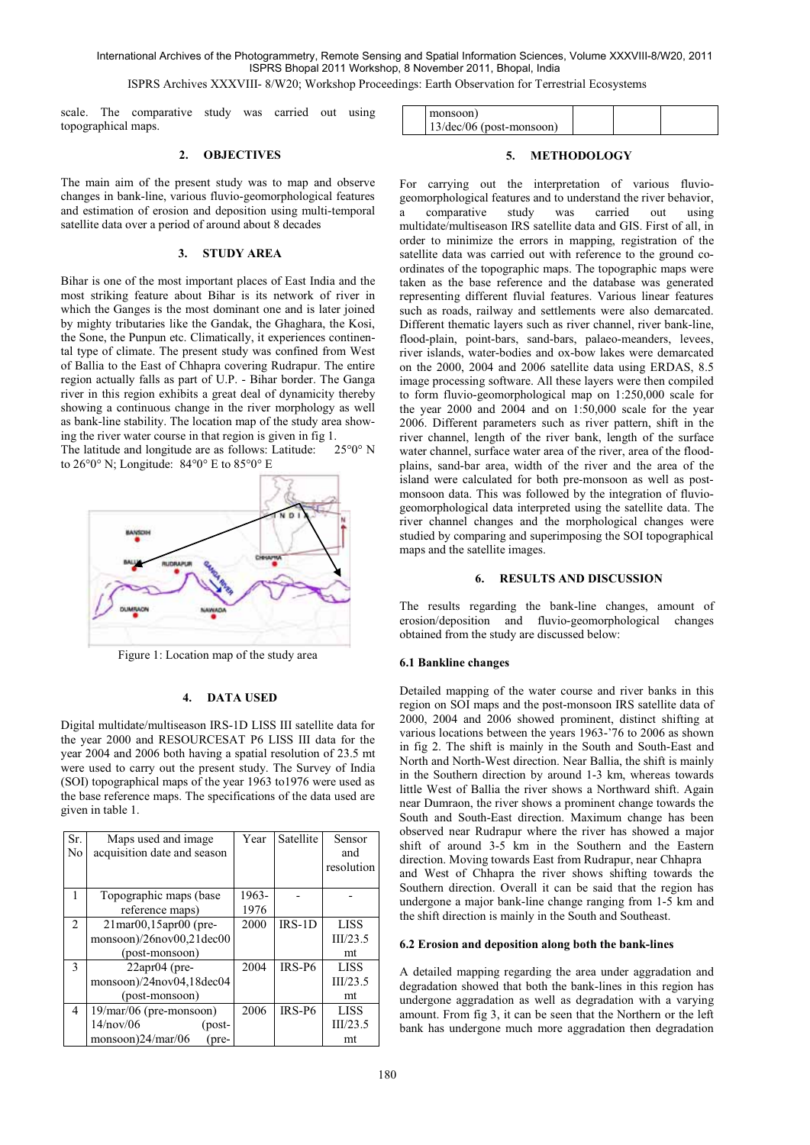International Archives of the Photogrammetry, Remote Sensing and Spatial Information Sciences, Volume XXXVIII-8/W20, 2011 ISPRS Bhopal 2011 Workshop, 8 November 2011, Bhopal, India

ISPRS Archives XXXVIII- 8/W20; Workshop Proceedings: Earth Observation for Terrestrial Ecosystems

scale. The comparative study was carried out using topographical maps.

### **2. OBJECTIVES**

The main aim of the present study was to map and observe changes in bank-line, various fluvio-geomorphological features and estimation of erosion and deposition using multi-temporal satellite data over a period of around about 8 decades

#### **3. STUDY AREA**

Bihar is one of the most important places of East India and the most striking feature about Bihar is its network of river in which the Ganges is the most dominant one and is later joined by mighty tributaries like the Gandak, the Ghaghara, the Kosi, the Sone, the Punpun etc. Climatically, it experiences continental type of climate. The present study was confined from West of Ballia to the East of Chhapra covering Rudrapur. The entire region actually falls as part of U.P. - Bihar border. The Ganga river in this region exhibits a great deal of dynamicity thereby showing a continuous change in the river morphology as well as bank-line stability. The location map of the study area showing the river water course in that region is given in fig 1.

The latitude and longitude are as follows: Latitude: 25°0° N to 26°0° N; Longitude: 84°0° E to 85°0° E



Figure 1: Location map of the study area

#### **4. DATA USED**

Digital multidate/multiseason IRS-1D LISS III satellite data for the year 2000 and RESOURCESAT P6 LISS III data for the year 2004 and 2006 both having a spatial resolution of 23.5 mt were used to carry out the present study. The Survey of India (SOI) topographical maps of the year 1963 to1976 were used as the base reference maps. The specifications of the data used are given in table 1.

| Sr.<br>No      | Maps used and image<br>acquisition date and season | Year  | Satellite | Sensor<br>and<br>resolution |
|----------------|----------------------------------------------------|-------|-----------|-----------------------------|
|                |                                                    |       |           |                             |
|                | Topographic maps (base)                            | 1963- |           |                             |
|                | reference maps)                                    | 1976  |           |                             |
| $\mathfrak{D}$ | 21mar00,15apr00 (pre-                              | 2000  | $IRS-1D$  | <b>LISS</b>                 |
|                | monsoon)/26nov00,21dec00                           |       |           | III/23.5                    |
|                | (post-monsoon)                                     |       |           | mt                          |
| $\mathbf{3}$   | $22$ apr $04$ (pre-                                | 2004  | $IRS-P6$  | <b>LISS</b>                 |
|                | monsoon)/24nov04,18dec04                           |       |           | III/23.5                    |
|                | (post-monsoon)                                     |       |           | mt                          |
| 4              | $19$ /mar/06 (pre-monsoon)                         | 2006  | $IRS-P6$  | <b>LISS</b>                 |
|                | 14/nov/06<br>(post-                                |       |           | III/23.5                    |
|                | monsoon)24/mar/06<br>(pre-                         |       |           | mt                          |

| monsoon)                          |  |  |
|-----------------------------------|--|--|
| $13/\text{dec}/06$ (post-monsoon) |  |  |

#### **5. METHODOLOGY**

For carrying out the interpretation of various fluviogeomorphological features and to understand the river behavior, a comparative study was carried out using multidate/multiseason IRS satellite data and GIS. First of all, in order to minimize the errors in mapping, registration of the satellite data was carried out with reference to the ground coordinates of the topographic maps. The topographic maps were taken as the base reference and the database was generated representing different fluvial features. Various linear features such as roads, railway and settlements were also demarcated. Different thematic layers such as river channel, river bank-line, flood-plain, point-bars, sand-bars, palaeo-meanders, levees, river islands, water-bodies and ox-bow lakes were demarcated on the 2000, 2004 and 2006 satellite data using ERDAS, 8.5 image processing software. All these layers were then compiled to form fluvio-geomorphological map on 1:250,000 scale for the year 2000 and 2004 and on 1:50,000 scale for the year 2006. Different parameters such as river pattern, shift in the river channel, length of the river bank, length of the surface water channel, surface water area of the river, area of the floodplains, sand-bar area, width of the river and the area of the island were calculated for both pre-monsoon as well as postmonsoon data. This was followed by the integration of fluviogeomorphological data interpreted using the satellite data. The river channel changes and the morphological changes were studied by comparing and superimposing the SOI topographical maps and the satellite images.

## **6. RESULTS AND DISCUSSION**

The results regarding the bank-line changes, amount of erosion/deposition and fluvio-geomorphological changes obtained from the study are discussed below:

#### **6.1 Bankline changes**

Detailed mapping of the water course and river banks in this region on SOI maps and the post-monsoon IRS satellite data of 2000, 2004 and 2006 showed prominent, distinct shifting at various locations between the years 1963-'76 to 2006 as shown in fig 2. The shift is mainly in the South and South-East and North and North-West direction. Near Ballia, the shift is mainly in the Southern direction by around 1-3 km, whereas towards little West of Ballia the river shows a Northward shift. Again near Dumraon, the river shows a prominent change towards the South and South-East direction. Maximum change has been observed near Rudrapur where the river has showed a major shift of around 3-5 km in the Southern and the Eastern direction. Moving towards East from Rudrapur, near Chhapra and West of Chhapra the river shows shifting towards the Southern direction. Overall it can be said that the region has undergone a major bank-line change ranging from 1-5 km and the shift direction is mainly in the South and Southeast.

#### **6.2 Erosion and deposition along both the bank-lines**

A detailed mapping regarding the area under aggradation and degradation showed that both the bank-lines in this region has undergone aggradation as well as degradation with a varying amount. From fig 3, it can be seen that the Northern or the left bank has undergone much more aggradation then degradation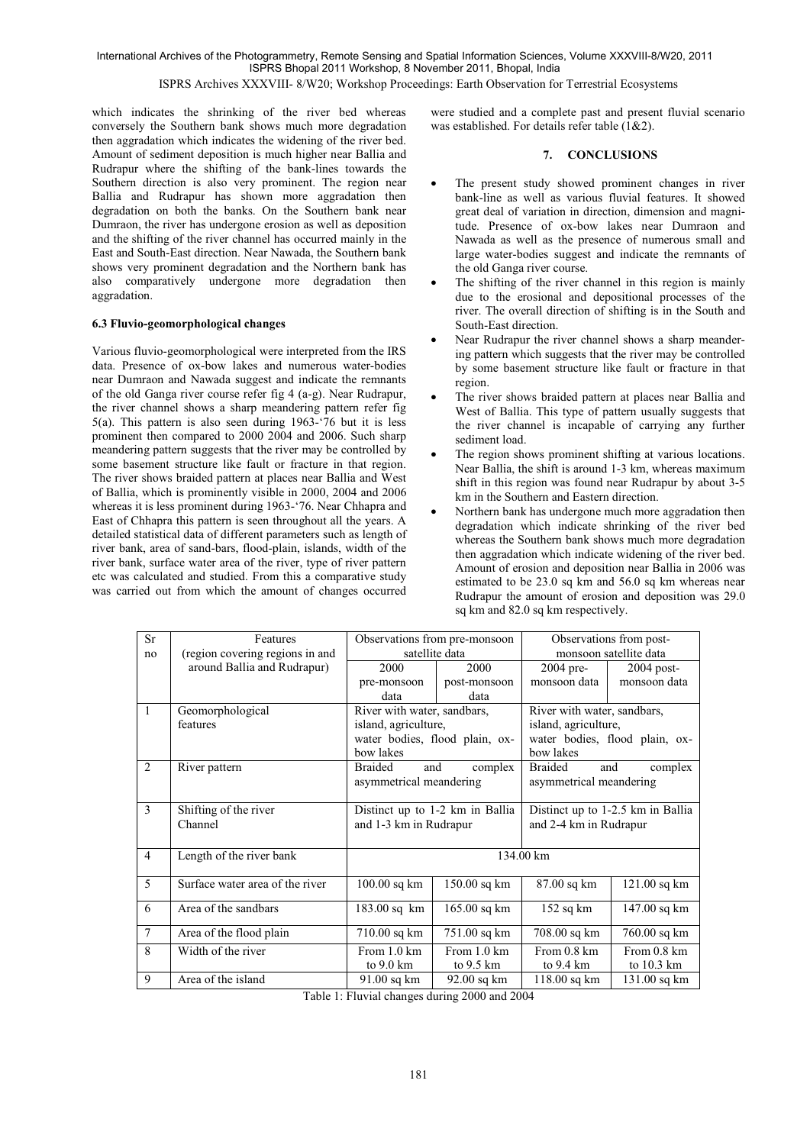International Archives of the Photogrammetry, Remote Sensing and Spatial Information Sciences, Volume XXXVIII-8/W20, 2011 ISPRS Bhopal 2011 Workshop, 8 November 2011, Bhopal, India

ISPRS Archives XXXVIII- 8/W20; Workshop Proceedings: Earth Observation for Terrestrial Ecosystems

which indicates the shrinking of the river bed whereas conversely the Southern bank shows much more degradation then aggradation which indicates the widening of the river bed. Amount of sediment deposition is much higher near Ballia and Rudrapur where the shifting of the bank-lines towards the Southern direction is also very prominent. The region near Ballia and Rudrapur has shown more aggradation then degradation on both the banks. On the Southern bank near Dumraon, the river has undergone erosion as well as deposition and the shifting of the river channel has occurred mainly in the East and South-East direction. Near Nawada, the Southern bank shows very prominent degradation and the Northern bank has also comparatively undergone more degradation then aggradation.

#### **6.3 Fluvio-geomorphological changes**

Various fluvio-geomorphological were interpreted from the IRS data. Presence of ox-bow lakes and numerous water-bodies near Dumraon and Nawada suggest and indicate the remnants of the old Ganga river course refer fig 4 (a-g). Near Rudrapur, the river channel shows a sharp meandering pattern refer fig 5(a). This pattern is also seen during 1963-'76 but it is less prominent then compared to 2000 2004 and 2006. Such sharp meandering pattern suggests that the river may be controlled by some basement structure like fault or fracture in that region. The river shows braided pattern at places near Ballia and West of Ballia, which is prominently visible in 2000, 2004 and 2006 whereas it is less prominent during 1963-'76. Near Chhapra and East of Chhapra this pattern is seen throughout all the years. A detailed statistical data of different parameters such as length of river bank, area of sand-bars, flood-plain, islands, width of the river bank, surface water area of the river, type of river pattern etc was calculated and studied. From this a comparative study was carried out from which the amount of changes occurred were studied and a complete past and present fluvial scenario was established. For details refer table (1&2).

## **7. CONCLUSIONS**

- The present study showed prominent changes in river bank-line as well as various fluvial features. It showed great deal of variation in direction, dimension and magnitude. Presence of ox-bow lakes near Dumraon and Nawada as well as the presence of numerous small and large water-bodies suggest and indicate the remnants of the old Ganga river course.
- The shifting of the river channel in this region is mainly due to the erosional and depositional processes of the river. The overall direction of shifting is in the South and South-East direction.
- Near Rudrapur the river channel shows a sharp meandering pattern which suggests that the river may be controlled by some basement structure like fault or fracture in that region.
- The river shows braided pattern at places near Ballia and West of Ballia. This type of pattern usually suggests that the river channel is incapable of carrying any further sediment load.
- The region shows prominent shifting at various locations. Near Ballia, the shift is around 1-3 km, whereas maximum shift in this region was found near Rudrapur by about 3-5 km in the Southern and Eastern direction.
- Northern bank has undergone much more aggradation then degradation which indicate shrinking of the river bed whereas the Southern bank shows much more degradation then aggradation which indicate widening of the river bed. Amount of erosion and deposition near Ballia in 2006 was estimated to be 23.0 sq km and 56.0 sq km whereas near Rudrapur the amount of erosion and deposition was 29.0 sq km and 82.0 sq km respectively.

| Sr             | Features                        | Observations from pre-monsoon                             |                | Observations from post-           |                |
|----------------|---------------------------------|-----------------------------------------------------------|----------------|-----------------------------------|----------------|
| no             | (region covering regions in and | satellite data                                            |                | monsoon satellite data            |                |
|                | around Ballia and Rudrapur)     | 2000                                                      | 2000           | 2004 pre-                         | 2004 post-     |
|                |                                 | pre-monsoon                                               | post-monsoon   | monsoon data                      | monsoon data   |
|                |                                 | data                                                      | data           |                                   |                |
| $\mathbf{1}$   | Geomorphological                | River with water, sandbars,                               |                | River with water, sandbars,       |                |
|                | features                        | island, agriculture,                                      |                | island, agriculture,              |                |
|                |                                 | water bodies, flood plain, ox-                            |                | water bodies, flood plain, ox-    |                |
|                |                                 | bow lakes                                                 |                | bow lakes                         |                |
| $\mathfrak{D}$ | River pattern                   | <b>Braided</b><br><b>Braided</b><br>complex<br>and<br>and |                | complex                           |                |
|                |                                 | asymmetrical meandering                                   |                | asymmetrical meandering           |                |
|                |                                 |                                                           |                |                                   |                |
| 3              | Shifting of the river           | Distinct up to 1-2 km in Ballia                           |                | Distinct up to 1-2.5 km in Ballia |                |
|                | Channel                         | and 1-3 km in Rudrapur                                    |                | and 2-4 km in Rudrapur            |                |
|                |                                 |                                                           |                |                                   |                |
| $\overline{4}$ | Length of the river bank        | 134.00 km                                                 |                |                                   |                |
|                |                                 |                                                           |                |                                   |                |
| 5              | Surface water area of the river | $100.00$ sq km                                            | $150.00$ sq km | 87.00 sq km                       | $121.00$ sq km |
|                |                                 |                                                           |                |                                   |                |
| 6              | Area of the sandbars            | 183.00 sq km                                              | $165.00$ sq km | $152$ sq km                       | 147.00 sq km   |
| $\overline{7}$ | Area of the flood plain         | 710.00 sq km                                              | 751.00 sq km   | 708.00 sq km                      | 760.00 sq km   |
|                |                                 |                                                           |                |                                   |                |
| 8              | Width of the river              | From 1.0 km                                               | From 1.0 km    | From 0.8 km                       | From 0.8 km    |
|                |                                 | to 9.0 km                                                 | to 9.5 km      | to 9.4 km                         | to 10.3 km     |
| 9              | Area of the island              | 91.00 sq km                                               | 92.00 sq km    | 118.00 sq km                      | 131.00 sq km   |

Table 1: Fluvial changes during 2000 and 2004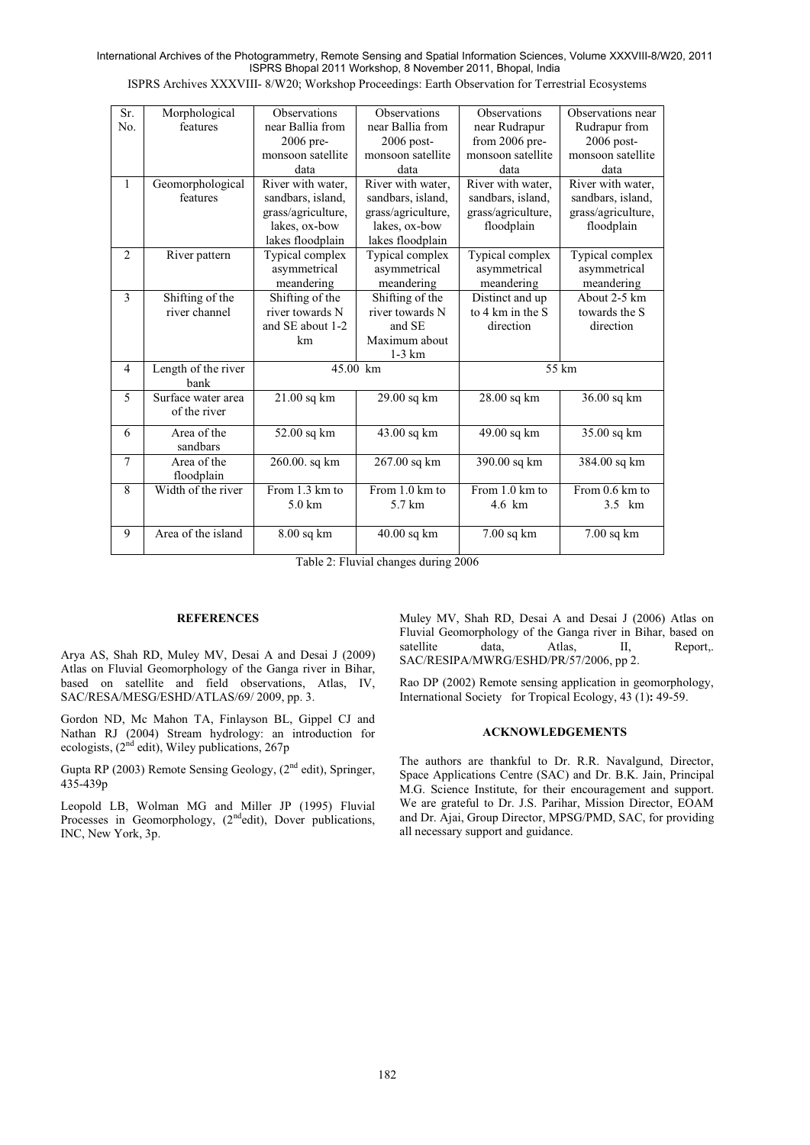International Archives of the Photogrammetry, Remote Sensing and Spatial Information Sciences, Volume XXXVIII-8/W20, 2011 ISPRS Bhopal 2011 Workshop, 8 November 2011, Bhopal, India

ISPRS Archives XXXVIII- 8/W20; Workshop Proceedings: Earth Observation for Terrestrial Ecosystems

| Sr.<br>No.     | Morphological<br>features   | <b>Observations</b><br>near Ballia from | <b>Observations</b><br>near Ballia from | <b>Observations</b><br>near Rudrapur | Observations near<br>Rudrapur from |
|----------------|-----------------------------|-----------------------------------------|-----------------------------------------|--------------------------------------|------------------------------------|
|                |                             | 2006 pre-                               | 2006 post-                              | from 2006 pre-                       | 2006 post-                         |
|                |                             | monsoon satellite                       | monsoon satellite                       | monsoon satellite                    | monsoon satellite                  |
|                |                             |                                         |                                         |                                      |                                    |
|                |                             | data                                    | data                                    | data                                 | data                               |
| $\mathbf{1}$   | Geomorphological            | River with water,                       | River with water,                       | River with water,                    | River with water,                  |
|                | features                    | sandbars, island,                       | sandbars, island,                       | sandbars, island,                    | sandbars, island,                  |
|                |                             | grass/agriculture,                      | grass/agriculture,                      | grass/agriculture,                   | grass/agriculture,                 |
|                |                             | lakes, ox-bow                           | lakes, ox-bow                           | floodplain                           | floodplain                         |
|                |                             | lakes floodplain                        | lakes floodplain                        |                                      |                                    |
| $\overline{2}$ | River pattern               | Typical complex                         | Typical complex                         | Typical complex                      | Typical complex                    |
|                |                             | asymmetrical                            | asymmetrical                            | asymmetrical                         | asymmetrical                       |
|                |                             | meandering                              | meandering                              | meandering                           | meandering                         |
| 3              | Shifting of the             | Shifting of the                         | Shifting of the                         | Distinct and up                      | About 2-5 km                       |
|                | river channel               | river towards N                         | river towards N                         | to 4 km in the S                     | towards the S                      |
|                |                             | and SE about 1-2                        | and SE                                  | direction                            | direction                          |
|                |                             | km                                      | Maximum about                           |                                      |                                    |
|                |                             |                                         | $1-3$ km                                |                                      |                                    |
| 4              |                             |                                         |                                         |                                      | 55 km                              |
|                | Length of the river<br>bank | $45.00$ km                              |                                         |                                      |                                    |
| 5              | Surface water area          | $21.00$ sq km                           | 29.00 sq km                             | 28.00 sq km                          | 36.00 sq km                        |
|                | of the river                |                                         |                                         |                                      |                                    |
|                |                             |                                         |                                         |                                      |                                    |
| 6              | Area of the<br>sandbars     | 52.00 sq km                             | 43.00 sq km                             | 49.00 sq km                          | 35.00 sq km                        |
| $\overline{7}$ | Area of the                 | 260.00. sq km                           | 267.00 sq km                            | 390.00 sq km                         | 384.00 sq km                       |
|                | floodplain                  |                                         |                                         |                                      |                                    |
| 8              | Width of the river          | From 1.3 km to                          | From 1.0 km to                          | From 1.0 km to                       | From 0.6 km to                     |
|                |                             | $5.0 \text{ km}$                        | 5.7 km                                  | 4.6 km                               | 3.5 km                             |
|                |                             |                                         |                                         |                                      |                                    |
| 9              | Area of the island          | 8.00 sq km                              | 40.00 sq km                             | $7.00$ sq km                         | 7.00 sq km                         |
|                |                             |                                         |                                         |                                      |                                    |
|                |                             |                                         |                                         |                                      |                                    |

Table 2: Fluvial changes during 2006

## **REFERENCES**

Arya AS, Shah RD, Muley MV, Desai A and Desai J (2009) Atlas on Fluvial Geomorphology of the Ganga river in Bihar, based on satellite and field observations, Atlas, IV, SAC/RESA/MESG/ESHD/ATLAS/69/ 2009, pp. 3.

Gordon ND, Mc Mahon TA, Finlayson BL, Gippel CJ and Nathan RJ (2004) Stream hydrology: an introduction for ecologists,  $(2<sup>nd</sup> edit)$ , Wiley publications, 267p

Gupta RP (2003) Remote Sensing Geology,  $(2^{nd}$  edit), Springer, 435-439p

Leopold LB, Wolman MG and Miller JP (1995) Fluvial Processes in Geomorphology, (2<sup>nd</sup>edit), Dover publications, INC, New York, 3p.

Muley MV, Shah RD, Desai A and Desai J (2006) Atlas on Fluvial Geomorphology of the Ganga river in Bihar, based on satellite data, Atlas, II, Report,. Report,. SAC/RESIPA/MWRG/ESHD/PR/57/2006, pp 2.

Rao DP (2002) Remote sensing application in geomorphology, International Society for Tropical Ecology, 43 (1)**:** 49-59.

## **ACKNOWLEDGEMENTS**

The authors are thankful to Dr. R.R. Navalgund, Director, Space Applications Centre (SAC) and Dr. B.K. Jain, Principal M.G. Science Institute, for their encouragement and support. We are grateful to Dr. J.S. Parihar, Mission Director, EOAM and Dr. Ajai, Group Director, MPSG/PMD, SAC, for providing all necessary support and guidance.